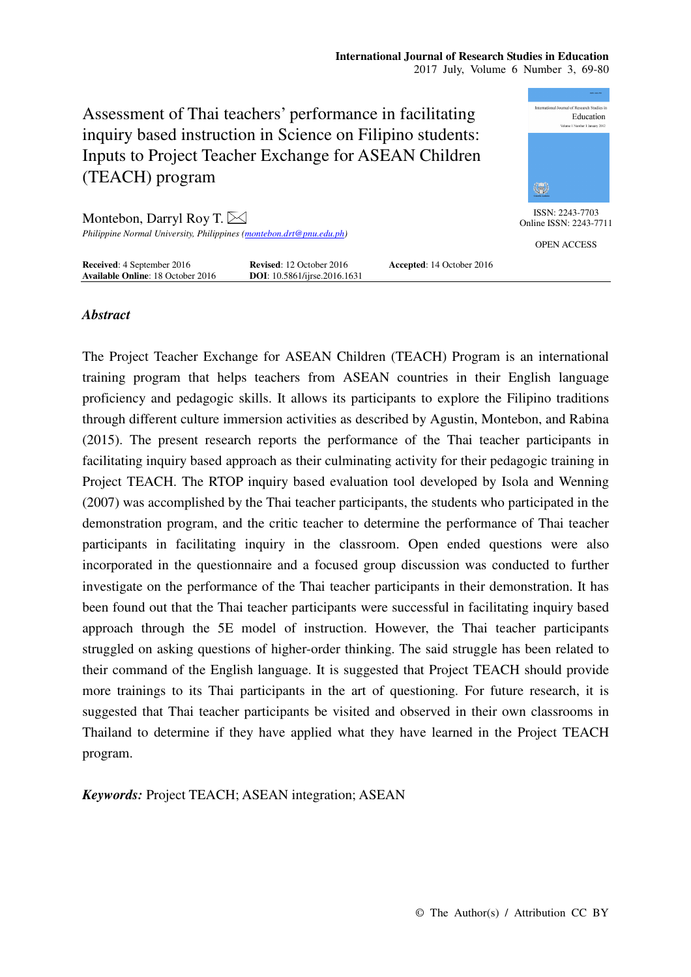

# *Abstract*

The Project Teacher Exchange for ASEAN Children (TEACH) Program is an international training program that helps teachers from ASEAN countries in their English language proficiency and pedagogic skills. It allows its participants to explore the Filipino traditions through different culture immersion activities as described by Agustin, Montebon, and Rabina (2015). The present research reports the performance of the Thai teacher participants in facilitating inquiry based approach as their culminating activity for their pedagogic training in Project TEACH. The RTOP inquiry based evaluation tool developed by Isola and Wenning (2007) was accomplished by the Thai teacher participants, the students who participated in the demonstration program, and the critic teacher to determine the performance of Thai teacher participants in facilitating inquiry in the classroom. Open ended questions were also incorporated in the questionnaire and a focused group discussion was conducted to further investigate on the performance of the Thai teacher participants in their demonstration. It has been found out that the Thai teacher participants were successful in facilitating inquiry based approach through the 5E model of instruction. However, the Thai teacher participants struggled on asking questions of higher-order thinking. The said struggle has been related to their command of the English language. It is suggested that Project TEACH should provide more trainings to its Thai participants in the art of questioning. For future research, it is suggested that Thai teacher participants be visited and observed in their own classrooms in Thailand to determine if they have applied what they have learned in the Project TEACH program.

*Keywords:* Project TEACH; ASEAN integration; ASEAN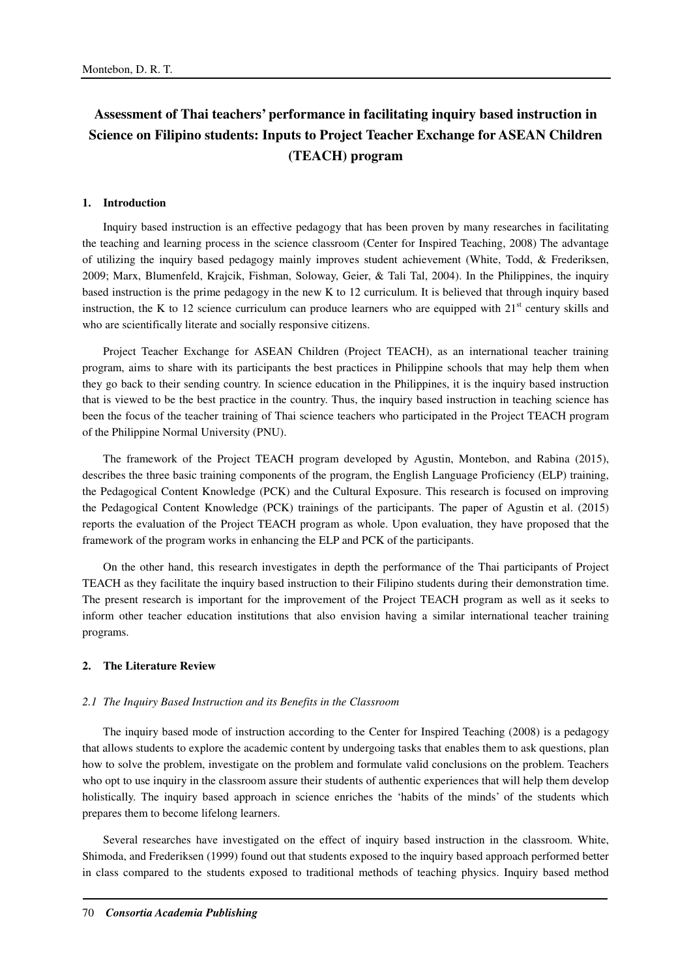# **Assessment of Thai teachers' performance in facilitating inquiry based instruction in Science on Filipino students: Inputs to Project Teacher Exchange for ASEAN Children (TEACH) program**

## **1. Introduction**

Inquiry based instruction is an effective pedagogy that has been proven by many researches in facilitating the teaching and learning process in the science classroom (Center for Inspired Teaching, 2008) The advantage of utilizing the inquiry based pedagogy mainly improves student achievement (White, Todd, & Frederiksen, 2009; Marx, Blumenfeld, Krajcik, Fishman, Soloway, Geier, & Tali Tal, 2004). In the Philippines, the inquiry based instruction is the prime pedagogy in the new K to 12 curriculum. It is believed that through inquiry based instruction, the K to 12 science curriculum can produce learners who are equipped with  $21<sup>st</sup>$  century skills and who are scientifically literate and socially responsive citizens.

Project Teacher Exchange for ASEAN Children (Project TEACH), as an international teacher training program, aims to share with its participants the best practices in Philippine schools that may help them when they go back to their sending country. In science education in the Philippines, it is the inquiry based instruction that is viewed to be the best practice in the country. Thus, the inquiry based instruction in teaching science has been the focus of the teacher training of Thai science teachers who participated in the Project TEACH program of the Philippine Normal University (PNU).

The framework of the Project TEACH program developed by Agustin, Montebon, and Rabina (2015), describes the three basic training components of the program, the English Language Proficiency (ELP) training, the Pedagogical Content Knowledge (PCK) and the Cultural Exposure. This research is focused on improving the Pedagogical Content Knowledge (PCK) trainings of the participants. The paper of Agustin et al. (2015) reports the evaluation of the Project TEACH program as whole. Upon evaluation, they have proposed that the framework of the program works in enhancing the ELP and PCK of the participants.

On the other hand, this research investigates in depth the performance of the Thai participants of Project TEACH as they facilitate the inquiry based instruction to their Filipino students during their demonstration time. The present research is important for the improvement of the Project TEACH program as well as it seeks to inform other teacher education institutions that also envision having a similar international teacher training programs.

# **2. The Literature Review**

#### *2.1 The Inquiry Based Instruction and its Benefits in the Classroom*

The inquiry based mode of instruction according to the Center for Inspired Teaching (2008) is a pedagogy that allows students to explore the academic content by undergoing tasks that enables them to ask questions, plan how to solve the problem, investigate on the problem and formulate valid conclusions on the problem. Teachers who opt to use inquiry in the classroom assure their students of authentic experiences that will help them develop holistically. The inquiry based approach in science enriches the 'habits of the minds' of the students which prepares them to become lifelong learners.

Several researches have investigated on the effect of inquiry based instruction in the classroom. White, Shimoda, and Frederiksen (1999) found out that students exposed to the inquiry based approach performed better in class compared to the students exposed to traditional methods of teaching physics. Inquiry based method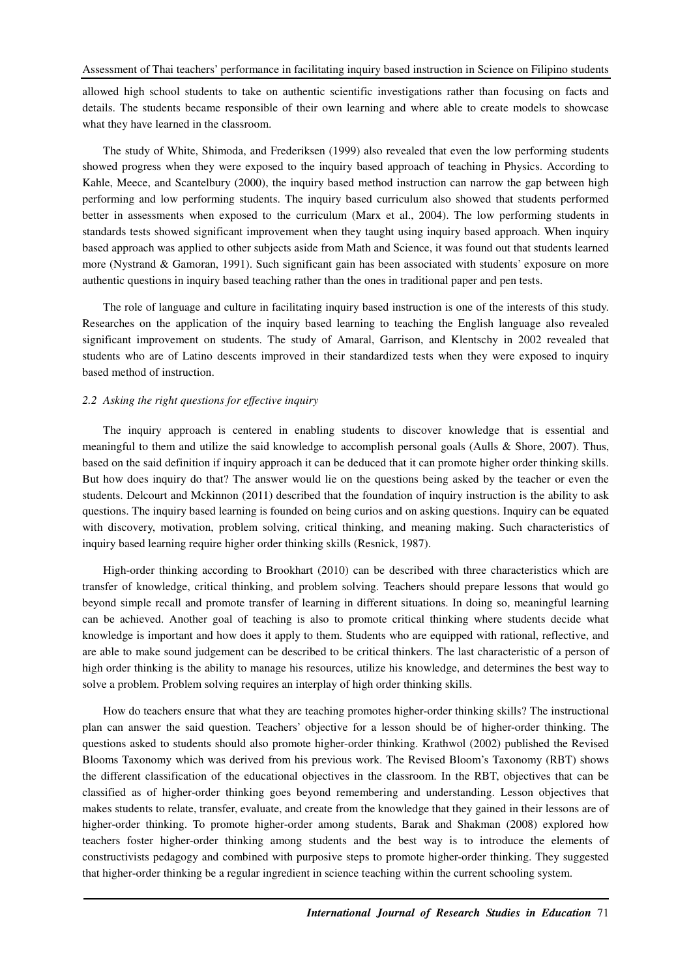allowed high school students to take on authentic scientific investigations rather than focusing on facts and details. The students became responsible of their own learning and where able to create models to showcase what they have learned in the classroom.

The study of White, Shimoda, and Frederiksen (1999) also revealed that even the low performing students showed progress when they were exposed to the inquiry based approach of teaching in Physics. According to Kahle, Meece, and Scantelbury (2000), the inquiry based method instruction can narrow the gap between high performing and low performing students. The inquiry based curriculum also showed that students performed better in assessments when exposed to the curriculum (Marx et al., 2004). The low performing students in standards tests showed significant improvement when they taught using inquiry based approach. When inquiry based approach was applied to other subjects aside from Math and Science, it was found out that students learned more (Nystrand & Gamoran, 1991). Such significant gain has been associated with students' exposure on more authentic questions in inquiry based teaching rather than the ones in traditional paper and pen tests.

The role of language and culture in facilitating inquiry based instruction is one of the interests of this study. Researches on the application of the inquiry based learning to teaching the English language also revealed significant improvement on students. The study of Amaral, Garrison, and Klentschy in 2002 revealed that students who are of Latino descents improved in their standardized tests when they were exposed to inquiry based method of instruction.

## *2.2 Asking the right questions for effective inquiry*

The inquiry approach is centered in enabling students to discover knowledge that is essential and meaningful to them and utilize the said knowledge to accomplish personal goals (Aulls & Shore, 2007). Thus, based on the said definition if inquiry approach it can be deduced that it can promote higher order thinking skills. But how does inquiry do that? The answer would lie on the questions being asked by the teacher or even the students. Delcourt and Mckinnon (2011) described that the foundation of inquiry instruction is the ability to ask questions. The inquiry based learning is founded on being curios and on asking questions. Inquiry can be equated with discovery, motivation, problem solving, critical thinking, and meaning making. Such characteristics of inquiry based learning require higher order thinking skills (Resnick, 1987).

High-order thinking according to Brookhart (2010) can be described with three characteristics which are transfer of knowledge, critical thinking, and problem solving. Teachers should prepare lessons that would go beyond simple recall and promote transfer of learning in different situations. In doing so, meaningful learning can be achieved. Another goal of teaching is also to promote critical thinking where students decide what knowledge is important and how does it apply to them. Students who are equipped with rational, reflective, and are able to make sound judgement can be described to be critical thinkers. The last characteristic of a person of high order thinking is the ability to manage his resources, utilize his knowledge, and determines the best way to solve a problem. Problem solving requires an interplay of high order thinking skills.

How do teachers ensure that what they are teaching promotes higher-order thinking skills? The instructional plan can answer the said question. Teachers' objective for a lesson should be of higher-order thinking. The questions asked to students should also promote higher-order thinking. Krathwol (2002) published the Revised Blooms Taxonomy which was derived from his previous work. The Revised Bloom's Taxonomy (RBT) shows the different classification of the educational objectives in the classroom. In the RBT, objectives that can be classified as of higher-order thinking goes beyond remembering and understanding. Lesson objectives that makes students to relate, transfer, evaluate, and create from the knowledge that they gained in their lessons are of higher-order thinking. To promote higher-order among students, Barak and Shakman (2008) explored how teachers foster higher-order thinking among students and the best way is to introduce the elements of constructivists pedagogy and combined with purposive steps to promote higher-order thinking. They suggested that higher-order thinking be a regular ingredient in science teaching within the current schooling system.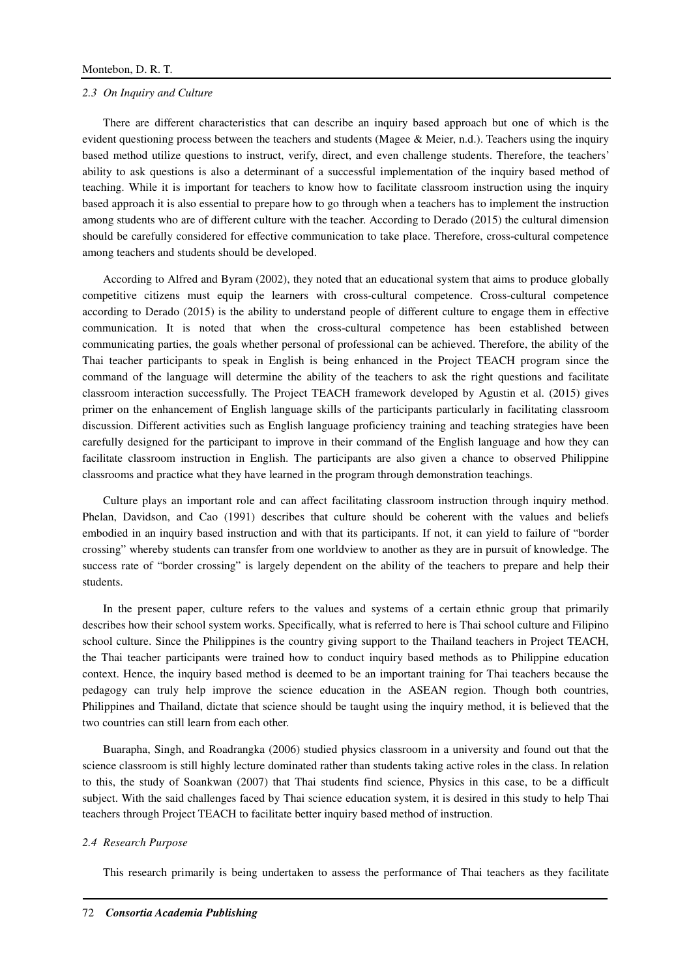#### *2.3 On Inquiry and Culture*

There are different characteristics that can describe an inquiry based approach but one of which is the evident questioning process between the teachers and students (Magee & Meier, n.d.). Teachers using the inquiry based method utilize questions to instruct, verify, direct, and even challenge students. Therefore, the teachers' ability to ask questions is also a determinant of a successful implementation of the inquiry based method of teaching. While it is important for teachers to know how to facilitate classroom instruction using the inquiry based approach it is also essential to prepare how to go through when a teachers has to implement the instruction among students who are of different culture with the teacher. According to Derado (2015) the cultural dimension should be carefully considered for effective communication to take place. Therefore, cross-cultural competence among teachers and students should be developed.

According to Alfred and Byram (2002), they noted that an educational system that aims to produce globally competitive citizens must equip the learners with cross-cultural competence. Cross-cultural competence according to Derado (2015) is the ability to understand people of different culture to engage them in effective communication. It is noted that when the cross-cultural competence has been established between communicating parties, the goals whether personal of professional can be achieved. Therefore, the ability of the Thai teacher participants to speak in English is being enhanced in the Project TEACH program since the command of the language will determine the ability of the teachers to ask the right questions and facilitate classroom interaction successfully. The Project TEACH framework developed by Agustin et al. (2015) gives primer on the enhancement of English language skills of the participants particularly in facilitating classroom discussion. Different activities such as English language proficiency training and teaching strategies have been carefully designed for the participant to improve in their command of the English language and how they can facilitate classroom instruction in English. The participants are also given a chance to observed Philippine classrooms and practice what they have learned in the program through demonstration teachings.

Culture plays an important role and can affect facilitating classroom instruction through inquiry method. Phelan, Davidson, and Cao (1991) describes that culture should be coherent with the values and beliefs embodied in an inquiry based instruction and with that its participants. If not, it can yield to failure of "border crossing" whereby students can transfer from one worldview to another as they are in pursuit of knowledge. The success rate of "border crossing" is largely dependent on the ability of the teachers to prepare and help their students.

In the present paper, culture refers to the values and systems of a certain ethnic group that primarily describes how their school system works. Specifically, what is referred to here is Thai school culture and Filipino school culture. Since the Philippines is the country giving support to the Thailand teachers in Project TEACH, the Thai teacher participants were trained how to conduct inquiry based methods as to Philippine education context. Hence, the inquiry based method is deemed to be an important training for Thai teachers because the pedagogy can truly help improve the science education in the ASEAN region. Though both countries, Philippines and Thailand, dictate that science should be taught using the inquiry method, it is believed that the two countries can still learn from each other.

Buarapha, Singh, and Roadrangka (2006) studied physics classroom in a university and found out that the science classroom is still highly lecture dominated rather than students taking active roles in the class. In relation to this, the study of Soankwan (2007) that Thai students find science, Physics in this case, to be a difficult subject. With the said challenges faced by Thai science education system, it is desired in this study to help Thai teachers through Project TEACH to facilitate better inquiry based method of instruction.

#### *2.4 Research Purpose*

This research primarily is being undertaken to assess the performance of Thai teachers as they facilitate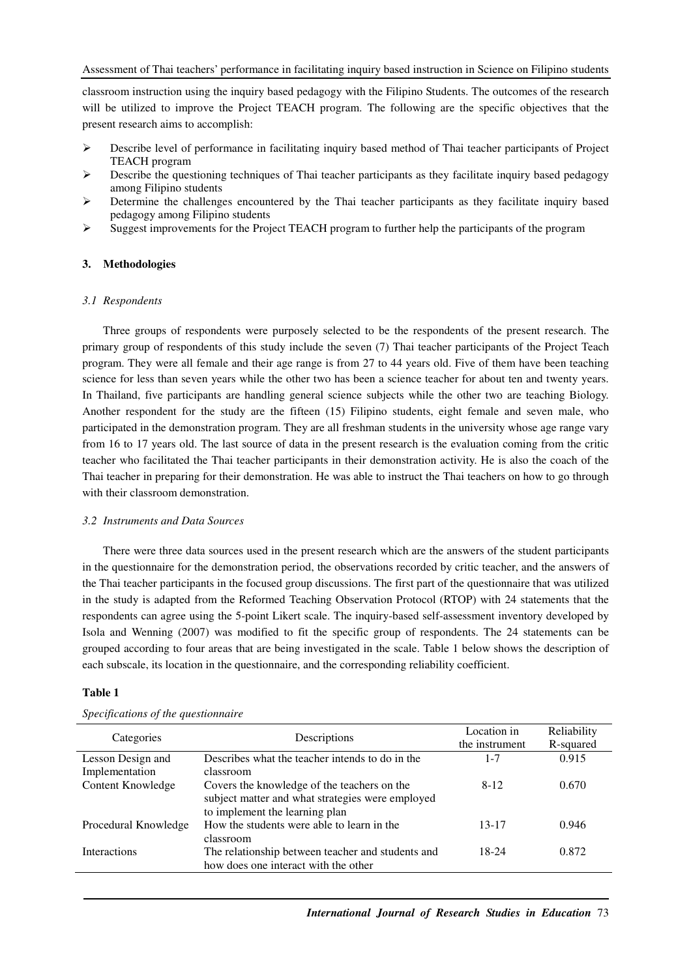Assessment of Thai teachers' performance in facilitating inquiry based instruction in Science on Filipino students

classroom instruction using the inquiry based pedagogy with the Filipino Students. The outcomes of the research will be utilized to improve the Project TEACH program. The following are the specific objectives that the present research aims to accomplish:

- $\triangleright$  Describe level of performance in facilitating inquiry based method of Thai teacher participants of Project TEACH program
- $\triangleright$  Describe the questioning techniques of Thai teacher participants as they facilitate inquiry based pedagogy among Filipino students
- $\triangleright$  Determine the challenges encountered by the Thai teacher participants as they facilitate inquiry based pedagogy among Filipino students
- $\triangleright$  Suggest improvements for the Project TEACH program to further help the participants of the program

# **3. Methodologies**

# *3.1 Respondents*

Three groups of respondents were purposely selected to be the respondents of the present research. The primary group of respondents of this study include the seven (7) Thai teacher participants of the Project Teach program. They were all female and their age range is from 27 to 44 years old. Five of them have been teaching science for less than seven years while the other two has been a science teacher for about ten and twenty years. In Thailand, five participants are handling general science subjects while the other two are teaching Biology. Another respondent for the study are the fifteen (15) Filipino students, eight female and seven male, who participated in the demonstration program. They are all freshman students in the university whose age range vary from 16 to 17 years old. The last source of data in the present research is the evaluation coming from the critic teacher who facilitated the Thai teacher participants in their demonstration activity. He is also the coach of the Thai teacher in preparing for their demonstration. He was able to instruct the Thai teachers on how to go through with their classroom demonstration.

# *3.2 Instruments and Data Sources*

There were three data sources used in the present research which are the answers of the student participants in the questionnaire for the demonstration period, the observations recorded by critic teacher, and the answers of the Thai teacher participants in the focused group discussions. The first part of the questionnaire that was utilized in the study is adapted from the Reformed Teaching Observation Protocol (RTOP) with 24 statements that the respondents can agree using the 5-point Likert scale. The inquiry-based self-assessment inventory developed by Isola and Wenning (2007) was modified to fit the specific group of respondents. The 24 statements can be grouped according to four areas that are being investigated in the scale. Table 1 below shows the description of each subscale, its location in the questionnaire, and the corresponding reliability coefficient.

## **Table 1**

| Categories           | Descriptions                                      | Location in    | Reliability |
|----------------------|---------------------------------------------------|----------------|-------------|
|                      |                                                   | the instrument | R-squared   |
| Lesson Design and    | Describes what the teacher intends to do in the   | 1-7            | 0.915       |
| Implementation       | classroom                                         |                |             |
| Content Knowledge    | Covers the knowledge of the teachers on the       | $8-12$         | 0.670       |
|                      | subject matter and what strategies were employed  |                |             |
|                      | to implement the learning plan                    |                |             |
| Procedural Knowledge | How the students were able to learn in the        | $13 - 17$      | 0.946       |
|                      | classroom                                         |                |             |
| <b>Interactions</b>  | The relationship between teacher and students and | 18-24          | 0.872       |
|                      | how does one interact with the other              |                |             |

## *Specifications of the questionnaire*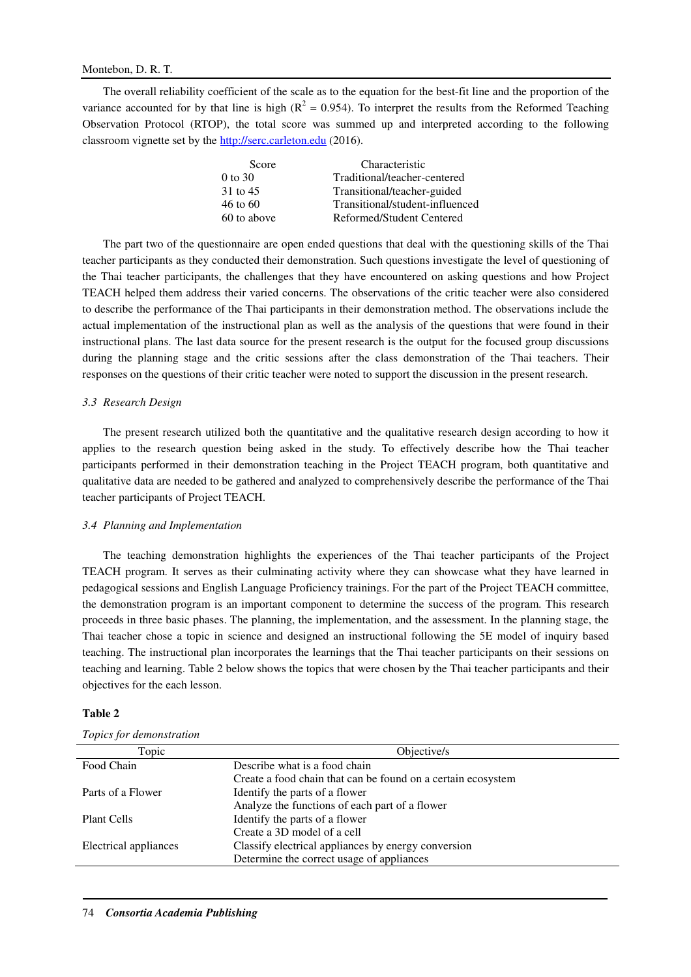The overall reliability coefficient of the scale as to the equation for the best-fit line and the proportion of the variance accounted for by that line is high ( $R^2 = 0.954$ ). To interpret the results from the Reformed Teaching Observation Protocol (RTOP), the total score was summed up and interpreted according to the following classroom vignette set by the http://serc.carleton.edu (2016).

| Score               | Characteristic                  |
|---------------------|---------------------------------|
| $0$ to 30           | Traditional/teacher-centered    |
| 31 to 45            | Transitional/teacher-guided     |
| $46 \text{ to } 60$ | Transitional/student-influenced |
| 60 to above         | Reformed/Student Centered       |

The part two of the questionnaire are open ended questions that deal with the questioning skills of the Thai teacher participants as they conducted their demonstration. Such questions investigate the level of questioning of the Thai teacher participants, the challenges that they have encountered on asking questions and how Project TEACH helped them address their varied concerns. The observations of the critic teacher were also considered to describe the performance of the Thai participants in their demonstration method. The observations include the actual implementation of the instructional plan as well as the analysis of the questions that were found in their instructional plans. The last data source for the present research is the output for the focused group discussions during the planning stage and the critic sessions after the class demonstration of the Thai teachers. Their responses on the questions of their critic teacher were noted to support the discussion in the present research.

## *3.3 Research Design*

The present research utilized both the quantitative and the qualitative research design according to how it applies to the research question being asked in the study. To effectively describe how the Thai teacher participants performed in their demonstration teaching in the Project TEACH program, both quantitative and qualitative data are needed to be gathered and analyzed to comprehensively describe the performance of the Thai teacher participants of Project TEACH.

# *3.4 Planning and Implementation*

The teaching demonstration highlights the experiences of the Thai teacher participants of the Project TEACH program. It serves as their culminating activity where they can showcase what they have learned in pedagogical sessions and English Language Proficiency trainings. For the part of the Project TEACH committee, the demonstration program is an important component to determine the success of the program. This research proceeds in three basic phases. The planning, the implementation, and the assessment. In the planning stage, the Thai teacher chose a topic in science and designed an instructional following the 5E model of inquiry based teaching. The instructional plan incorporates the learnings that the Thai teacher participants on their sessions on teaching and learning. Table 2 below shows the topics that were chosen by the Thai teacher participants and their objectives for the each lesson.

#### **Table 2**

|  | Topics for demonstration |
|--|--------------------------|
|  |                          |

| Topic                 | Objective/s                                                  |
|-----------------------|--------------------------------------------------------------|
| Food Chain            | Describe what is a food chain                                |
|                       | Create a food chain that can be found on a certain ecosystem |
| Parts of a Flower     | Identify the parts of a flower                               |
|                       | Analyze the functions of each part of a flower               |
| Plant Cells           | Identify the parts of a flower                               |
|                       | Create a 3D model of a cell                                  |
| Electrical appliances | Classify electrical appliances by energy conversion          |
|                       | Determine the correct usage of appliances                    |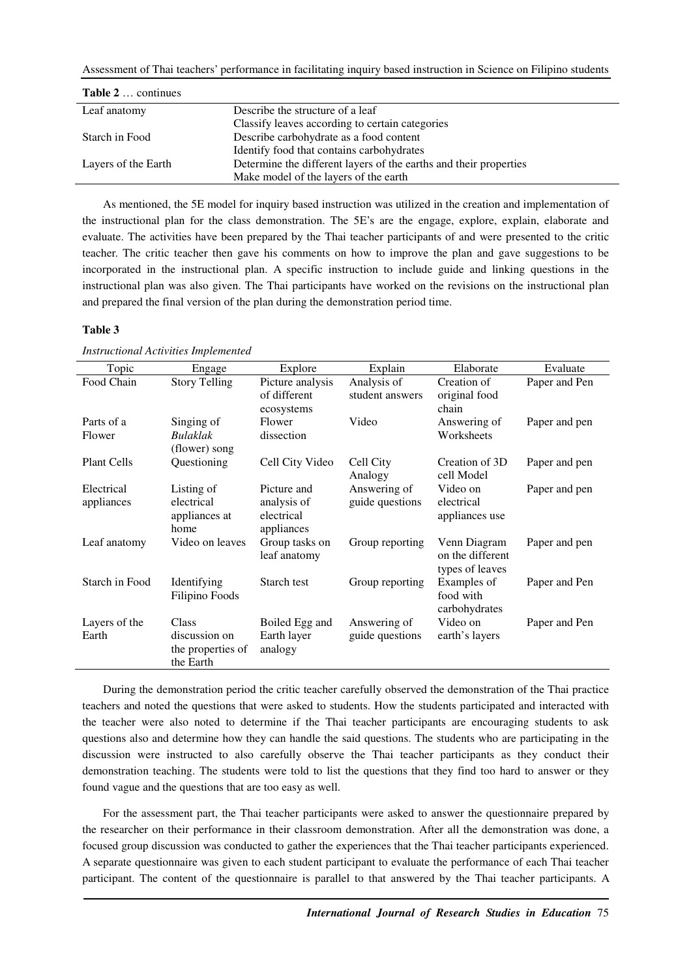| <b>Table 2</b> continues |                                                                   |
|--------------------------|-------------------------------------------------------------------|
| Leaf anatomy             | Describe the structure of a leaf                                  |
|                          | Classify leaves according to certain categories                   |
| Starch in Food           | Describe carbohydrate as a food content                           |
|                          | Identify food that contains carbohydrates                         |
| Layers of the Earth      | Determine the different layers of the earths and their properties |
|                          | Make model of the layers of the earth                             |

As mentioned, the 5E model for inquiry based instruction was utilized in the creation and implementation of the instructional plan for the class demonstration. The 5E's are the engage, explore, explain, elaborate and evaluate. The activities have been prepared by the Thai teacher participants of and were presented to the critic teacher. The critic teacher then gave his comments on how to improve the plan and gave suggestions to be incorporated in the instructional plan. A specific instruction to include guide and linking questions in the instructional plan was also given. The Thai participants have worked on the revisions on the instructional plan and prepared the final version of the plan during the demonstration period time.

## **Table 3**

|  | <b>Instructional Activities Implemented</b> |
|--|---------------------------------------------|
|  |                                             |

| Topic                    | Engage                                                   | Explore                                                | Explain                         | Elaborate                                           | Evaluate      |
|--------------------------|----------------------------------------------------------|--------------------------------------------------------|---------------------------------|-----------------------------------------------------|---------------|
| Food Chain               | <b>Story Telling</b>                                     | Picture analysis<br>of different<br>ecosystems         | Analysis of<br>student answers  | Creation of<br>original food<br>chain               | Paper and Pen |
| Parts of a<br>Flower     | Singing of<br><b>Bulaklak</b><br>(flower) song           | Flower<br>dissection                                   | Video                           | Answering of<br>Worksheets                          | Paper and pen |
| <b>Plant Cells</b>       | Questioning                                              | Cell City Video                                        | Cell City<br>Analogy            | Creation of 3D<br>cell Model                        | Paper and pen |
| Electrical<br>appliances | Listing of<br>electrical<br>appliances at<br>home        | Picture and<br>analysis of<br>electrical<br>appliances | Answering of<br>guide questions | Video on<br>electrical<br>appliances use            | Paper and pen |
| Leaf anatomy             | Video on leaves                                          | Group tasks on<br>leaf anatomy                         | Group reporting                 | Venn Diagram<br>on the different<br>types of leaves | Paper and pen |
| Starch in Food           | Identifying<br>Filipino Foods                            | Starch test                                            | Group reporting                 | Examples of<br>food with<br>carbohydrates           | Paper and Pen |
| Layers of the<br>Earth   | Class<br>discussion on<br>the properties of<br>the Earth | Boiled Egg and<br>Earth layer<br>analogy               | Answering of<br>guide questions | Video on<br>earth's layers                          | Paper and Pen |

During the demonstration period the critic teacher carefully observed the demonstration of the Thai practice teachers and noted the questions that were asked to students. How the students participated and interacted with the teacher were also noted to determine if the Thai teacher participants are encouraging students to ask questions also and determine how they can handle the said questions. The students who are participating in the discussion were instructed to also carefully observe the Thai teacher participants as they conduct their demonstration teaching. The students were told to list the questions that they find too hard to answer or they found vague and the questions that are too easy as well.

For the assessment part, the Thai teacher participants were asked to answer the questionnaire prepared by the researcher on their performance in their classroom demonstration. After all the demonstration was done, a focused group discussion was conducted to gather the experiences that the Thai teacher participants experienced. A separate questionnaire was given to each student participant to evaluate the performance of each Thai teacher participant. The content of the questionnaire is parallel to that answered by the Thai teacher participants. A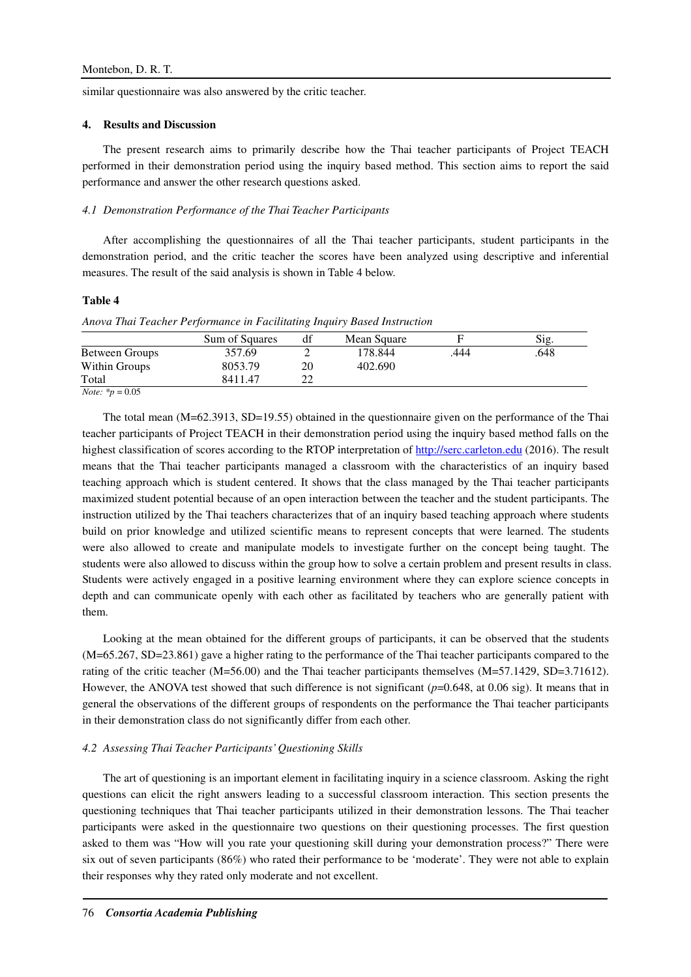similar questionnaire was also answered by the critic teacher.

## **4. Results and Discussion**

The present research aims to primarily describe how the Thai teacher participants of Project TEACH performed in their demonstration period using the inquiry based method. This section aims to report the said performance and answer the other research questions asked.

#### *4.1 Demonstration Performance of the Thai Teacher Participants*

After accomplishing the questionnaires of all the Thai teacher participants, student participants in the demonstration period, and the critic teacher the scores have been analyzed using descriptive and inferential measures. The result of the said analysis is shown in Table 4 below.

## **Table 4**

*Anova Thai Teacher Performance in Facilitating Inquiry Based Instruction* 

|                             | Sum of Squares | df | Mean Square |      | Sig. |
|-----------------------------|----------------|----|-------------|------|------|
| Between Groups              | 357.69         |    | 178.844     | .444 | .648 |
| Within Groups               | 8053.79        | 20 | 402.690     |      |      |
| Total                       | 8411.47        | າາ |             |      |      |
| <i>Note:</i> $*_{p} = 0.05$ |                |    |             |      |      |

The total mean (M=62.3913, SD=19.55) obtained in the questionnaire given on the performance of the Thai teacher participants of Project TEACH in their demonstration period using the inquiry based method falls on the highest classification of scores according to the RTOP interpretation of http://serc.carleton.edu (2016). The result means that the Thai teacher participants managed a classroom with the characteristics of an inquiry based teaching approach which is student centered. It shows that the class managed by the Thai teacher participants maximized student potential because of an open interaction between the teacher and the student participants. The instruction utilized by the Thai teachers characterizes that of an inquiry based teaching approach where students build on prior knowledge and utilized scientific means to represent concepts that were learned. The students were also allowed to create and manipulate models to investigate further on the concept being taught. The students were also allowed to discuss within the group how to solve a certain problem and present results in class. Students were actively engaged in a positive learning environment where they can explore science concepts in depth and can communicate openly with each other as facilitated by teachers who are generally patient with them.

Looking at the mean obtained for the different groups of participants, it can be observed that the students (M=65.267, SD=23.861) gave a higher rating to the performance of the Thai teacher participants compared to the rating of the critic teacher (M=56.00) and the Thai teacher participants themselves (M=57.1429, SD=3.71612). However, the ANOVA test showed that such difference is not significant ( $p=0.648$ , at 0.06 sig). It means that in general the observations of the different groups of respondents on the performance the Thai teacher participants in their demonstration class do not significantly differ from each other.

## *4.2 Assessing Thai Teacher Participants' Questioning Skills*

The art of questioning is an important element in facilitating inquiry in a science classroom. Asking the right questions can elicit the right answers leading to a successful classroom interaction. This section presents the questioning techniques that Thai teacher participants utilized in their demonstration lessons. The Thai teacher participants were asked in the questionnaire two questions on their questioning processes. The first question asked to them was "How will you rate your questioning skill during your demonstration process?" There were six out of seven participants (86%) who rated their performance to be 'moderate'. They were not able to explain their responses why they rated only moderate and not excellent.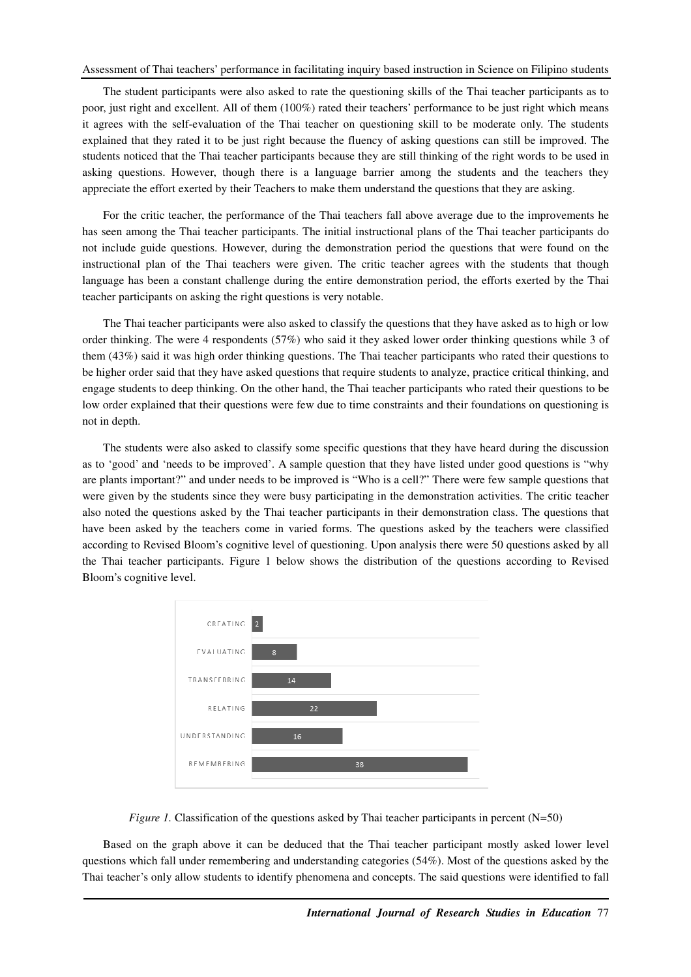The student participants were also asked to rate the questioning skills of the Thai teacher participants as to poor, just right and excellent. All of them (100%) rated their teachers' performance to be just right which means it agrees with the self-evaluation of the Thai teacher on questioning skill to be moderate only. The students explained that they rated it to be just right because the fluency of asking questions can still be improved. The students noticed that the Thai teacher participants because they are still thinking of the right words to be used in asking questions. However, though there is a language barrier among the students and the teachers they appreciate the effort exerted by their Teachers to make them understand the questions that they are asking.

For the critic teacher, the performance of the Thai teachers fall above average due to the improvements he has seen among the Thai teacher participants. The initial instructional plans of the Thai teacher participants do not include guide questions. However, during the demonstration period the questions that were found on the instructional plan of the Thai teachers were given. The critic teacher agrees with the students that though language has been a constant challenge during the entire demonstration period, the efforts exerted by the Thai teacher participants on asking the right questions is very notable.

The Thai teacher participants were also asked to classify the questions that they have asked as to high or low order thinking. The were 4 respondents (57%) who said it they asked lower order thinking questions while 3 of them (43%) said it was high order thinking questions. The Thai teacher participants who rated their questions to be higher order said that they have asked questions that require students to analyze, practice critical thinking, and engage students to deep thinking. On the other hand, the Thai teacher participants who rated their questions to be low order explained that their questions were few due to time constraints and their foundations on questioning is not in depth.

The students were also asked to classify some specific questions that they have heard during the discussion as to 'good' and 'needs to be improved'. A sample question that they have listed under good questions is "why are plants important?" and under needs to be improved is "Who is a cell?" There were few sample questions that were given by the students since they were busy participating in the demonstration activities. The critic teacher also noted the questions asked by the Thai teacher participants in their demonstration class. The questions that have been asked by the teachers come in varied forms. The questions asked by the teachers were classified according to Revised Bloom's cognitive level of questioning. Upon analysis there were 50 questions asked by all the Thai teacher participants. Figure 1 below shows the distribution of the questions according to Revised Bloom's cognitive level.





Based on the graph above it can be deduced that the Thai teacher participant mostly asked lower level questions which fall under remembering and understanding categories (54%). Most of the questions asked by the Thai teacher's only allow students to identify phenomena and concepts. The said questions were identified to fall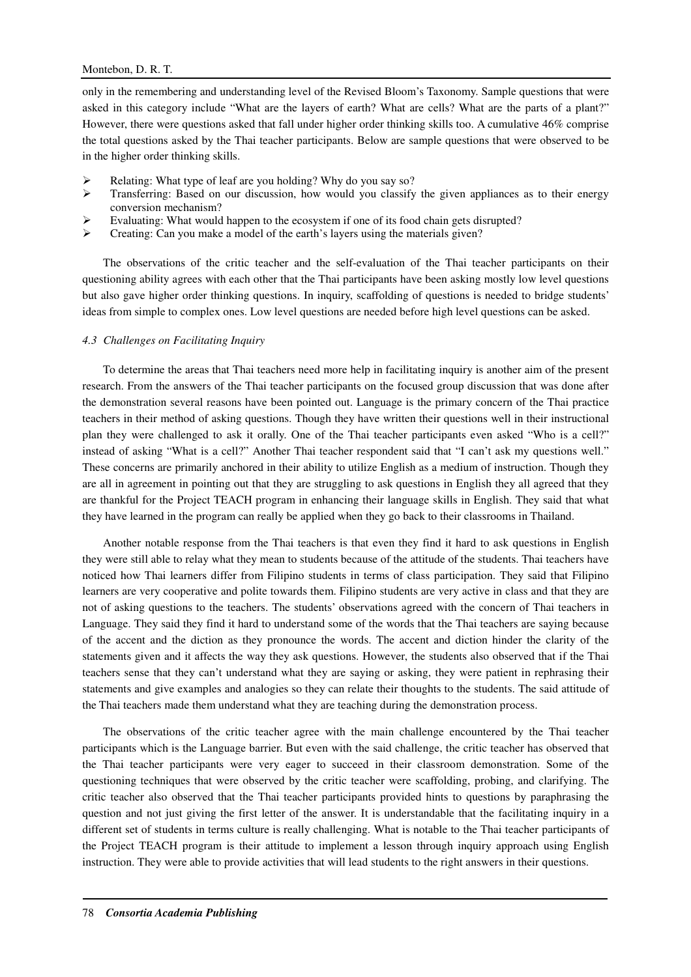# Montebon, D. R. T.

only in the remembering and understanding level of the Revised Bloom's Taxonomy. Sample questions that were asked in this category include "What are the layers of earth? What are cells? What are the parts of a plant?" However, there were questions asked that fall under higher order thinking skills too. A cumulative 46% comprise the total questions asked by the Thai teacher participants. Below are sample questions that were observed to be in the higher order thinking skills.

- Relating: What type of leaf are you holding? Why do you say so?
- $\triangleright$  Transferring: Based on our discussion, how would you classify the given appliances as to their energy conversion mechanism?
- Evaluating: What would happen to the ecosystem if one of its food chain gets disrupted?
- $\triangleright$  Creating: Can you make a model of the earth's layers using the materials given?

The observations of the critic teacher and the self-evaluation of the Thai teacher participants on their questioning ability agrees with each other that the Thai participants have been asking mostly low level questions but also gave higher order thinking questions. In inquiry, scaffolding of questions is needed to bridge students' ideas from simple to complex ones. Low level questions are needed before high level questions can be asked.

## *4.3 Challenges on Facilitating Inquiry*

To determine the areas that Thai teachers need more help in facilitating inquiry is another aim of the present research. From the answers of the Thai teacher participants on the focused group discussion that was done after the demonstration several reasons have been pointed out. Language is the primary concern of the Thai practice teachers in their method of asking questions. Though they have written their questions well in their instructional plan they were challenged to ask it orally. One of the Thai teacher participants even asked "Who is a cell?" instead of asking "What is a cell?" Another Thai teacher respondent said that "I can't ask my questions well." These concerns are primarily anchored in their ability to utilize English as a medium of instruction. Though they are all in agreement in pointing out that they are struggling to ask questions in English they all agreed that they are thankful for the Project TEACH program in enhancing their language skills in English. They said that what they have learned in the program can really be applied when they go back to their classrooms in Thailand.

Another notable response from the Thai teachers is that even they find it hard to ask questions in English they were still able to relay what they mean to students because of the attitude of the students. Thai teachers have noticed how Thai learners differ from Filipino students in terms of class participation. They said that Filipino learners are very cooperative and polite towards them. Filipino students are very active in class and that they are not of asking questions to the teachers. The students' observations agreed with the concern of Thai teachers in Language. They said they find it hard to understand some of the words that the Thai teachers are saying because of the accent and the diction as they pronounce the words. The accent and diction hinder the clarity of the statements given and it affects the way they ask questions. However, the students also observed that if the Thai teachers sense that they can't understand what they are saying or asking, they were patient in rephrasing their statements and give examples and analogies so they can relate their thoughts to the students. The said attitude of the Thai teachers made them understand what they are teaching during the demonstration process.

The observations of the critic teacher agree with the main challenge encountered by the Thai teacher participants which is the Language barrier. But even with the said challenge, the critic teacher has observed that the Thai teacher participants were very eager to succeed in their classroom demonstration. Some of the questioning techniques that were observed by the critic teacher were scaffolding, probing, and clarifying. The critic teacher also observed that the Thai teacher participants provided hints to questions by paraphrasing the question and not just giving the first letter of the answer. It is understandable that the facilitating inquiry in a different set of students in terms culture is really challenging. What is notable to the Thai teacher participants of the Project TEACH program is their attitude to implement a lesson through inquiry approach using English instruction. They were able to provide activities that will lead students to the right answers in their questions.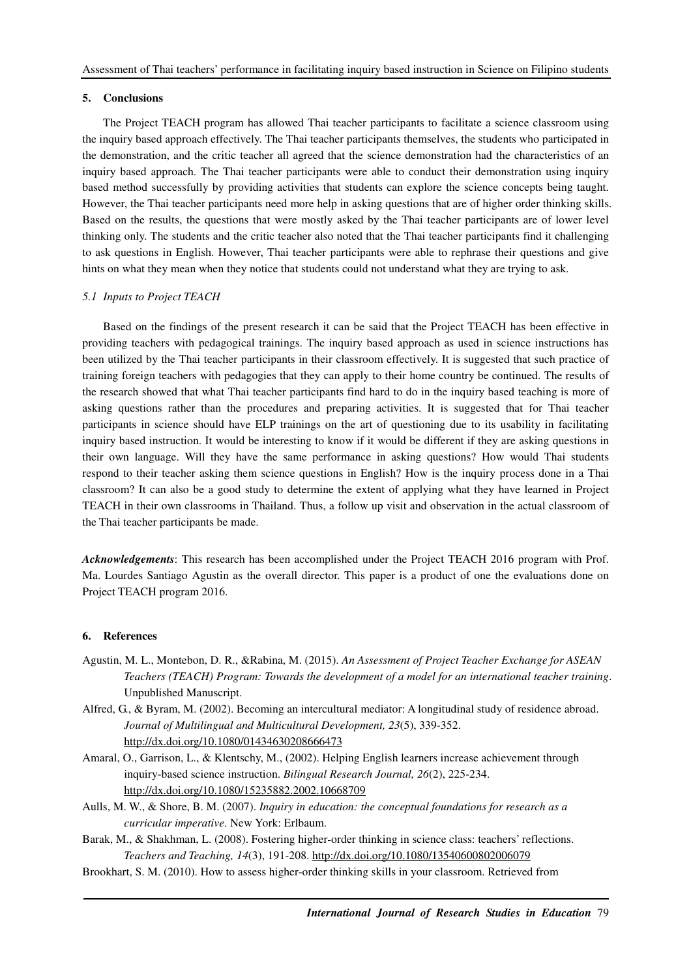#### **5. Conclusions**

The Project TEACH program has allowed Thai teacher participants to facilitate a science classroom using the inquiry based approach effectively. The Thai teacher participants themselves, the students who participated in the demonstration, and the critic teacher all agreed that the science demonstration had the characteristics of an inquiry based approach. The Thai teacher participants were able to conduct their demonstration using inquiry based method successfully by providing activities that students can explore the science concepts being taught. However, the Thai teacher participants need more help in asking questions that are of higher order thinking skills. Based on the results, the questions that were mostly asked by the Thai teacher participants are of lower level thinking only. The students and the critic teacher also noted that the Thai teacher participants find it challenging to ask questions in English. However, Thai teacher participants were able to rephrase their questions and give hints on what they mean when they notice that students could not understand what they are trying to ask.

# *5.1 Inputs to Project TEACH*

Based on the findings of the present research it can be said that the Project TEACH has been effective in providing teachers with pedagogical trainings. The inquiry based approach as used in science instructions has been utilized by the Thai teacher participants in their classroom effectively. It is suggested that such practice of training foreign teachers with pedagogies that they can apply to their home country be continued. The results of the research showed that what Thai teacher participants find hard to do in the inquiry based teaching is more of asking questions rather than the procedures and preparing activities. It is suggested that for Thai teacher participants in science should have ELP trainings on the art of questioning due to its usability in facilitating inquiry based instruction. It would be interesting to know if it would be different if they are asking questions in their own language. Will they have the same performance in asking questions? How would Thai students respond to their teacher asking them science questions in English? How is the inquiry process done in a Thai classroom? It can also be a good study to determine the extent of applying what they have learned in Project TEACH in their own classrooms in Thailand. Thus, a follow up visit and observation in the actual classroom of the Thai teacher participants be made.

*Acknowledgements*: This research has been accomplished under the Project TEACH 2016 program with Prof. Ma. Lourdes Santiago Agustin as the overall director. This paper is a product of one the evaluations done on Project TEACH program 2016.

#### **6. References**

- Agustin, M. L., Montebon, D. R., &Rabina, M. (2015). *An Assessment of Project Teacher Exchange for ASEAN Teachers (TEACH) Program: Towards the development of a model for an international teacher training*. Unpublished Manuscript.
- Alfred, G., & Byram, M. (2002). Becoming an intercultural mediator: A longitudinal study of residence abroad. *Journal of Multilingual and Multicultural Development, 23*(5), 339-352. http://dx.doi.org/10.1080/01434630208666473
- Amaral, O., Garrison, L., & Klentschy, M., (2002). Helping English learners increase achievement through inquiry-based science instruction. *Bilingual Research Journal, 26*(2), 225-234. http://dx.doi.org/10.1080/15235882.2002.10668709
- Aulls, M. W., & Shore, B. M. (2007). *Inquiry in education: the conceptual foundations for research as a curricular imperative*. New York: Erlbaum.
- Barak, M., & Shakhman, L. (2008). Fostering higher-order thinking in science class: teachers' reflections. *Teachers and Teaching, 14*(3), 191-208. http://dx.doi.org/10.1080/13540600802006079
- Brookhart, S. M. (2010). How to assess higher-order thinking skills in your classroom. Retrieved from